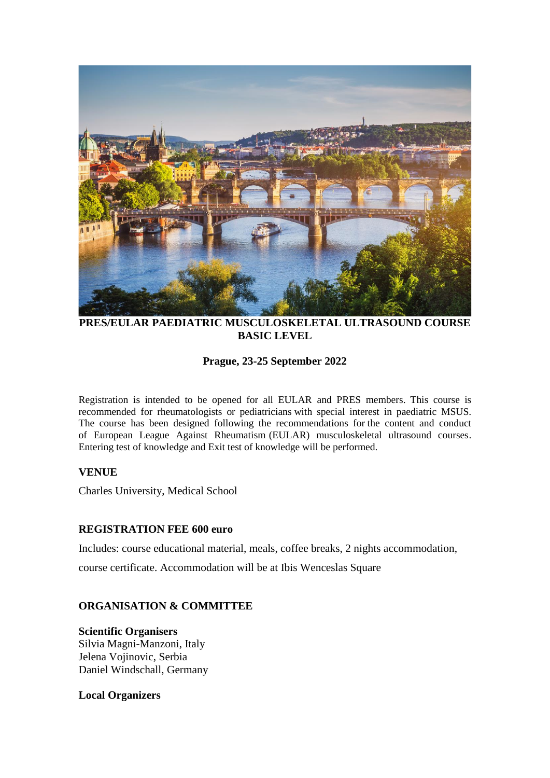

**PRES/EULAR PAEDIATRIC MUSCULOSKELETAL ULTRASOUND COURSE BASIC LEVEL**

## **Prague, 23-25 September 2022**

Registration is intended to be opened for all EULAR and PRES members. This course is recommended for rheumatologists or pediatricians with special interest in paediatric MSUS. The course has been designed following the recommendations for the content and conduct of European League Against Rheumatism (EULAR) musculoskeletal ultrasound courses. Entering test of knowledge and Exit test of knowledge will be performed.

## **VENUE**

Charles University, Medical School

## **REGISTRATION FEE 600 euro**

Includes: course educational material, meals, coffee breaks, 2 nights accommodation,

course certificate. Accommodation will be at Ibis Wenceslas Square

## **ORGANISATION & COMMITTEE**

**Scientific Organisers** Silvia Magni-Manzoni, Italy Jelena Vojinovic, Serbia Daniel Windschall, Germany

#### **Local Organizers**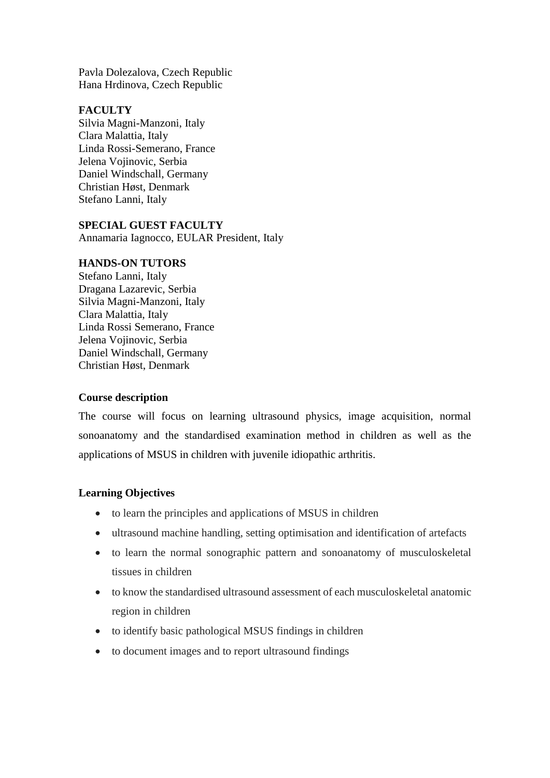Pavla Dolezalova, Czech Republic Hana Hrdinova, Czech Republic

## **FACULTY**

Silvia Magni-Manzoni, Italy Clara Malattia, Italy Linda Rossi-Semerano, France Jelena Vojinovic, Serbia Daniel Windschall, Germany Christian Høst, Denmark Stefano Lanni, Italy

# **SPECIAL GUEST FACULTY**

Annamaria Iagnocco, EULAR President, Italy

#### **HANDS-ON TUTORS**

Stefano Lanni, Italy Dragana Lazarevic, Serbia Silvia Magni-Manzoni, Italy Clara Malattia, Italy Linda Rossi Semerano, France Jelena Vojinovic, Serbia Daniel Windschall, Germany Christian Høst, Denmark

## **Course description**

The course will focus on learning ultrasound physics, image acquisition, normal sonoanatomy and the standardised examination method in children as well as the applications of MSUS in children with juvenile idiopathic arthritis.

## **Learning Objectives**

- to learn the principles and applications of MSUS in children
- ultrasound machine handling, setting optimisation and identification of artefacts
- to learn the normal sonographic pattern and sonoanatomy of musculoskeletal tissues in children
- to know the standardised ultrasound assessment of each musculoskeletal anatomic region in children
- to identify basic pathological MSUS findings in children
- to document images and to report ultrasound findings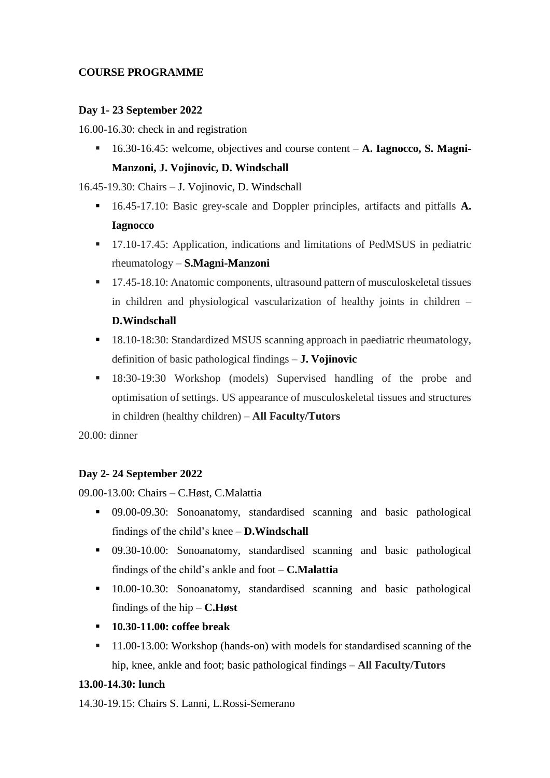# **COURSE PROGRAMME**

## **Day 1- 23 September 2022**

16.00-16.30: check in and registration

▪ 16.30-16.45: welcome, objectives and course content – **A. Iagnocco, S. Magni-Manzoni, J. Vojinovic, D. Windschall**

16.45-19.30: Chairs – J. Vojinovic, D. Windschall

- 16.45-17.10: Basic grey-scale and Doppler principles, artifacts and pitfalls **A. Iagnocco**
- 17.10-17.45: Application, indications and limitations of PedMSUS in pediatric rheumatology – **S.Magni-Manzoni**
- 17.45-18.10: Anatomic components, ultrasound pattern of musculoskeletal tissues in children and physiological vascularization of healthy joints in children – **D.Windschall**
- 18.10-18:30: Standardized MSUS scanning approach in paediatric rheumatology, definition of basic pathological findings – **J. Vojinovic**
- **■** 18:30-19:30 Workshop (models) Supervised handling of the probe and optimisation of settings. US appearance of musculoskeletal tissues and structures in children (healthy children) – **All Faculty/Tutors**

20.00: dinner

## **Day 2- 24 September 2022**

09.00-13.00: Chairs – C.Høst, C.Malattia

- 09.00-09.30: Sonoanatomy, standardised scanning and basic pathological findings of the child's knee – **D.Windschall**
- 09.30-10.00: Sonoanatomy, standardised scanning and basic pathological findings of the child's ankle and foot – **C.Malattia**
- 10.00-10.30: Sonoanatomy, standardised scanning and basic pathological findings of the hip – **C.Høst**
- **10.30-11.00: coffee break**
- 11.00-13.00: Workshop (hands-on) with models for standardised scanning of the hip, knee, ankle and foot; basic pathological findings – **All Faculty/Tutors**

## **13.00-14.30: lunch**

14.30-19.15: Chairs S. Lanni, L.Rossi-Semerano